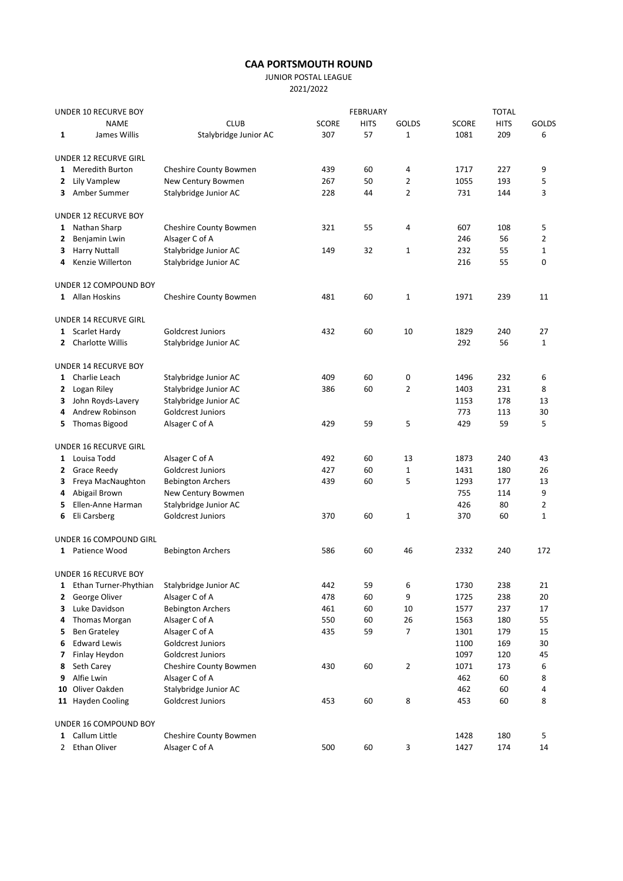## CAA PORTSMOUTH ROUND

JUNIOR POSTAL LEAGUE

2021/2022

| UNDER 10 RECURVE BOY |                                             |                                                |              | <b>FEBRUARY</b> | <b>TOTAL</b>        |              |             |                   |
|----------------------|---------------------------------------------|------------------------------------------------|--------------|-----------------|---------------------|--------------|-------------|-------------------|
|                      | <b>NAME</b>                                 | <b>CLUB</b>                                    | <b>SCORE</b> | <b>HITS</b>     | GOLDS               | <b>SCORE</b> | <b>HITS</b> | <b>GOLDS</b>      |
| 1                    | James Willis                                | Stalybridge Junior AC                          | 307          | 57              | $\mathbf 1$         | 1081         | 209         | 6                 |
|                      | UNDER 12 RECURVE GIRL                       |                                                |              |                 |                     |              |             |                   |
| 1                    | <b>Meredith Burton</b>                      | Cheshire County Bowmen                         | 439          | 60              | 4                   | 1717         | 227         | 9                 |
|                      | 2 Lily Vamplew                              | New Century Bowmen                             | 267          | 50              | $\overline{2}$      | 1055         | 193         | 5                 |
| 3                    | Amber Summer                                | Stalybridge Junior AC                          | 228          | 44              | 2                   | 731          | 144         | 3                 |
|                      | <b>UNDER 12 RECURVE BOY</b>                 |                                                |              |                 |                     |              |             |                   |
|                      | 1 Nathan Sharp                              | Cheshire County Bowmen                         | 321          | 55              | 4                   | 607          | 108         | 5                 |
| 2                    | Benjamin Lwin                               | Alsager C of A                                 |              |                 |                     | 246          | 56          | 2                 |
| 3<br>4               | <b>Harry Nuttall</b><br>Kenzie Willerton    | Stalybridge Junior AC<br>Stalybridge Junior AC | 149          | 32              | $\mathbf{1}$        | 232<br>216   | 55<br>55    | $\mathbf{1}$<br>0 |
|                      | UNDER 12 COMPOUND BOY                       |                                                |              |                 |                     |              |             |                   |
|                      | 1 Allan Hoskins                             | Cheshire County Bowmen                         | 481          | 60              | $\mathbf{1}$        | 1971         | 239         | 11                |
|                      |                                             |                                                |              |                 |                     |              |             |                   |
|                      | UNDER 14 RECURVE GIRL<br>1 Scarlet Hardy    | Goldcrest Juniors                              | 432          | 60              | 10                  | 1829         | 240         | 27                |
|                      | 2 Charlotte Willis                          | Stalybridge Junior AC                          |              |                 |                     | 292          | 56          | $\mathbf{1}$      |
|                      |                                             |                                                |              |                 |                     |              |             |                   |
|                      | UNDER 14 RECURVE BOY<br>1 Charlie Leach     |                                                |              |                 |                     |              |             |                   |
|                      | Logan Riley                                 | Stalybridge Junior AC<br>Stalybridge Junior AC | 409<br>386   | 60<br>60        | 0<br>$\overline{2}$ | 1496<br>1403 | 232<br>231  | 6<br>8            |
| 2                    | John Royds-Lavery                           | Stalybridge Junior AC                          |              |                 |                     | 1153         | 178         | 13                |
| 3<br>4               | Andrew Robinson                             | Goldcrest Juniors                              |              |                 |                     | 773          | 113         | 30                |
| 5                    | Thomas Bigood                               | Alsager C of A                                 | 429          | 59              | 5                   | 429          | 59          | 5                 |
|                      |                                             |                                                |              |                 |                     |              |             |                   |
| 1                    | <b>UNDER 16 RECURVE GIRL</b><br>Louisa Todd | Alsager C of A                                 | 492          | 60              | 13                  | 1873         | 240         | 43                |
| 2                    | <b>Grace Reedy</b>                          | Goldcrest Juniors                              | 427          | 60              | 1                   | 1431         | 180         | 26                |
| 3                    | Freya MacNaughton                           | <b>Bebington Archers</b>                       | 439          | 60              | 5                   | 1293         | 177         | 13                |
| 4                    | Abigail Brown                               | New Century Bowmen                             |              |                 |                     | 755          | 114         | 9                 |
| 5.                   | Ellen-Anne Harman                           | Stalybridge Junior AC                          |              |                 |                     | 426          | 80          | $\overline{2}$    |
| 6                    | Eli Carsberg                                | <b>Goldcrest Juniors</b>                       | 370          | 60              | $\mathbf 1$         | 370          | 60          | $\mathbf{1}$      |
|                      | UNDER 16 COMPOUND GIRL                      |                                                |              |                 |                     |              |             |                   |
|                      | 1 Patience Wood                             | <b>Bebington Archers</b>                       | 586          | 60              | 46                  | 2332         | 240         | 172               |
|                      | UNDER 16 RECURVE BOY                        |                                                |              |                 |                     |              |             |                   |
|                      | 1 Ethan Turner-Phythian                     | Stalybridge Junior AC                          | 442          | 59              | 6                   | 1730         | 238         | 21                |
| 2                    | George Oliver                               | Alsager C of A                                 | 478          | 60              | 9                   | 1725         | 238         | 20                |
| 3                    | Luke Davidson                               | <b>Bebington Archers</b>                       | 461          | 60              | 10                  | 1577         | 237         | 17                |
| 4                    | Thomas Morgan                               | Alsager C of A                                 | 550          | 60              | 26                  | 1563         | 180         | 55                |
| 5                    | <b>Ben Grateley</b>                         | Alsager C of A                                 | 435          | 59              | 7                   | 1301         | 179         | 15                |
| 6                    | <b>Edward Lewis</b>                         | Goldcrest Juniors                              |              |                 |                     | 1100         | 169         | 30                |
| 7                    | Finlay Heydon                               | <b>Goldcrest Juniors</b>                       |              |                 |                     | 1097         | 120         | 45                |
| 8                    | Seth Carey                                  | Cheshire County Bowmen                         | 430          | 60              | $\overline{2}$      | 1071         | 173         | 6                 |
| 9                    | Alfie Lwin                                  | Alsager C of A                                 |              |                 |                     | 462          | 60          | 8                 |
| 10                   | Oliver Oakden                               | Stalybridge Junior AC                          |              |                 |                     | 462          | 60          | 4                 |
|                      | 11 Hayden Cooling                           | Goldcrest Juniors                              | 453          | 60              | 8                   | 453          | 60          | 8                 |
|                      | UNDER 16 COMPOUND BOY                       |                                                |              |                 |                     |              |             |                   |
|                      | 1 Callum Little                             | Cheshire County Bowmen                         |              |                 |                     | 1428         | 180         | 5                 |
| 2                    | Ethan Oliver                                | Alsager C of A                                 | 500          | 60              | 3                   | 1427         | 174         | 14                |